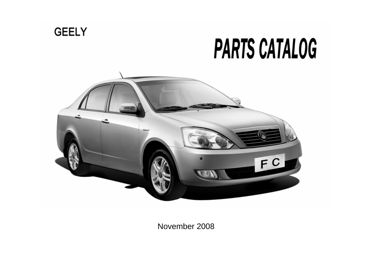

November 2008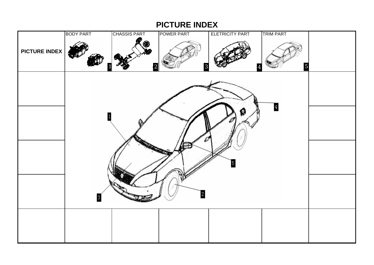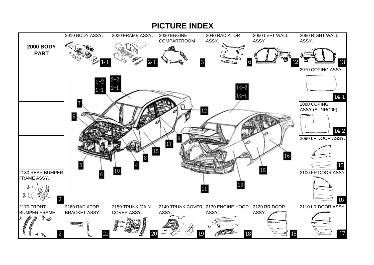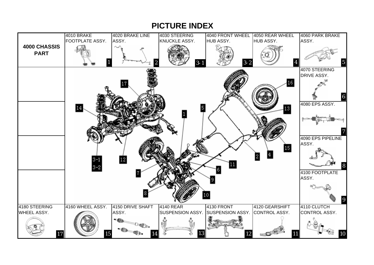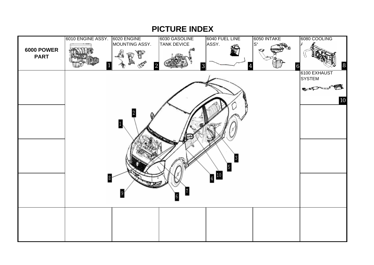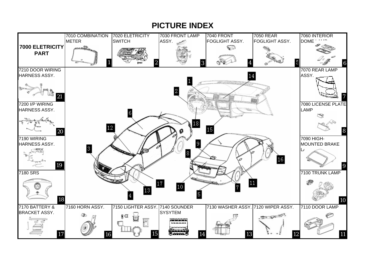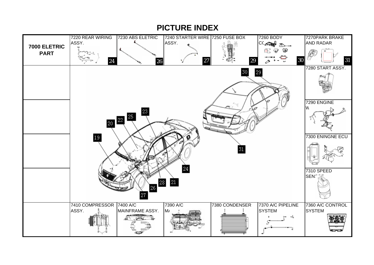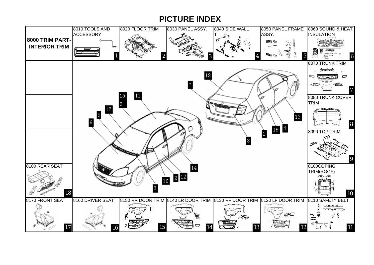